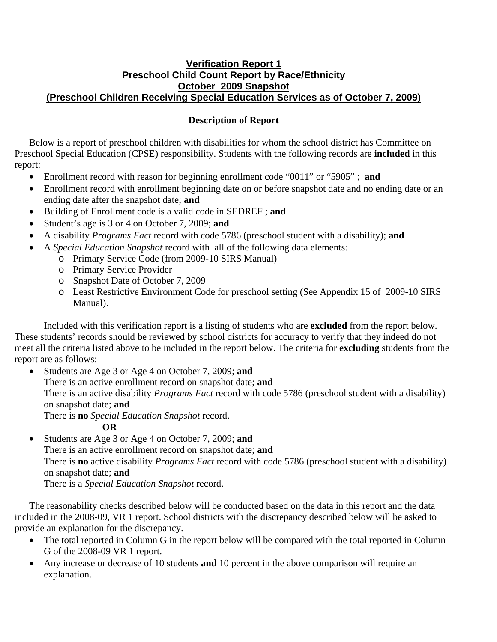## **Verification Report 1 Preschool Child Count Report by Race/Ethnicity October 2009 Snapshot (Preschool Children Receiving Special Education Services as of October 7, 2009)**

## **Description of Report**

Below is a report of preschool children with disabilities for whom the school district has Committee on Preschool Special Education (CPSE) responsibility. Students with the following records are **included** in this report:

- Enrollment record with reason for beginning enrollment code "0011" or "5905" ; **and**
- Enrollment record with enrollment beginning date on or before snapshot date and no ending date or an ending date after the snapshot date; **and**
- Building of Enrollment code is a valid code in SEDREF ; **and**
- Student's age is 3 or 4 on October 7, 2009; **and**
- A disability *Programs Fact* record with code 5786 (preschool student with a disability); **and**
- A *Special Education Snapshot* record with all of the following data elements*:*
	- o Primary Service Code (from 2009-10 SIRS Manual)
	- o Primary Service Provider
	- o Snapshot Date of October 7, 2009
	- o Least Restrictive Environment Code for preschool setting (See Appendix 15 of 2009-10 SIRS Manual).

Included with this verification report is a listing of students who are **excluded** from the report below. These students' records should be reviewed by school districts for accuracy to verify that they indeed do not meet all the criteria listed above to be included in the report below. The criteria for **excluding** students from the report are as follows:

• Students are Age 3 or Age 4 on October 7, 2009; **and** There is an active enrollment record on snapshot date; **and** There is an active disability *Programs Fact* record with code 5786 (preschool student with a disability) on snapshot date; **and** There is **no** *Special Education Snapshot* record.

**OR** 

• Students are Age 3 or Age 4 on October 7, 2009; **and**  There is an active enrollment record on snapshot date; **and**  There is **no** active disability *Programs Fact* record with code 5786 (preschool student with a disability) on snapshot date; **and** There is a *Special Education Snapshot* record.

The reasonability checks described below will be conducted based on the data in this report and the data included in the 2008-09, VR 1 report. School districts with the discrepancy described below will be asked to provide an explanation for the discrepancy.

- The total reported in Column G in the report below will be compared with the total reported in Column G of the 2008-09 VR 1 report.
- Any increase or decrease of 10 students **and** 10 percent in the above comparison will require an explanation.